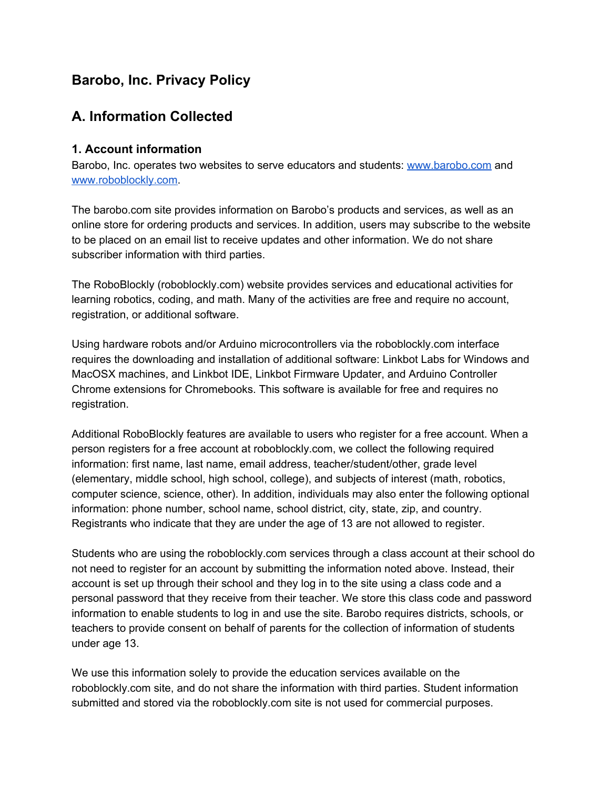## **Barobo, Inc. Privacy Policy**

## **A. Information Collected**

#### **1. Account information**

Barobo, Inc. operates two websites to serve educators and students: [www.barobo.com](http://www.barobo.com/) and [www.roboblockly.com](http://www.roboblockly.com/).

The barobo.com site provides information on Barobo's products and services, as well as an online store for ordering products and services. In addition, users may subscribe to the website to be placed on an email list to receive updates and other information. We do not share subscriber information with third parties.

The RoboBlockly (roboblockly.com) website provides services and educational activities for learning robotics, coding, and math. Many of the activities are free and require no account, registration, or additional software.

Using hardware robots and/or Arduino microcontrollers via the roboblockly.com interface requires the downloading and installation of additional software: Linkbot Labs for Windows and MacOSX machines, and Linkbot IDE, Linkbot Firmware Updater, and Arduino Controller Chrome extensions for Chromebooks. This software is available for free and requires no registration.

Additional RoboBlockly features are available to users who register for a free account. When a person registers for a free account at roboblockly.com, we collect the following required information: first name, last name, email address, teacher/student/other, grade level (elementary, middle school, high school, college), and subjects of interest (math, robotics, computer science, science, other). In addition, individuals may also enter the following optional information: phone number, school name, school district, city, state, zip, and country. Registrants who indicate that they are under the age of 13 are not allowed to register.

Students who are using the roboblockly.com services through a class account at their school do not need to register for an account by submitting the information noted above. Instead, their account is set up through their school and they log in to the site using a class code and a personal password that they receive from their teacher. We store this class code and password information to enable students to log in and use the site. Barobo requires districts, schools, or teachers to provide consent on behalf of parents for the collection of information of students under age 13.

We use this information solely to provide the education services available on the roboblockly.com site, and do not share the information with third parties. Student information submitted and stored via the roboblockly.com site is not used for commercial purposes.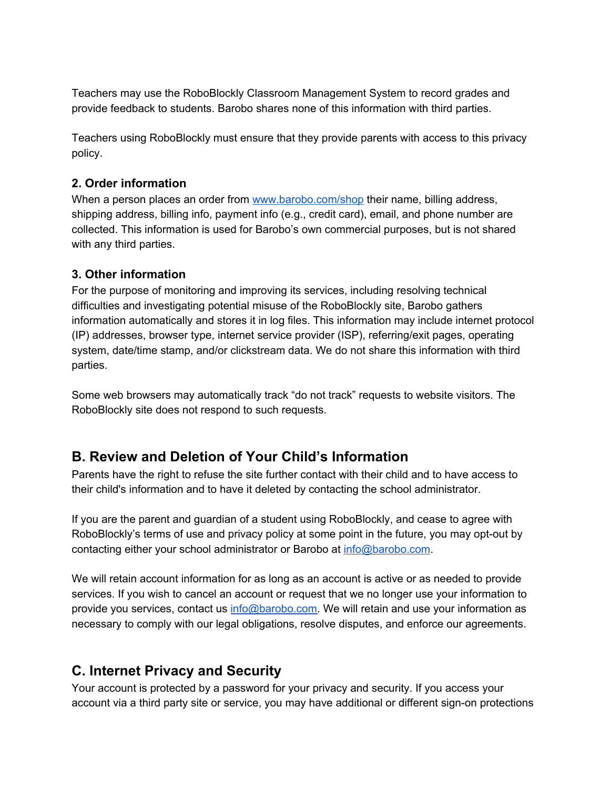Teachers may use the RoboBlockly Classroom Management System to record grades and provide feedback to students. Barobo shares none of this information with third parties.

Teachers using RoboBlockly must ensure that they provide parents with access to this privacy policy.

#### **2. Order information**

When a person places an order from [www.barobo.com/shop](http://www.barobo.com/shop) their name, billing address, shipping address, billing info, payment info (e.g., credit card), email, and phone number are collected. This information is used for Barobo's own commercial purposes, but is not shared with any third parties.

#### **3. Other information**

For the purpose of monitoring and improving its services, including resolving technical difficulties and investigating potential misuse of the RoboBlockly site, Barobo gathers information automatically and stores it in log files. This information may include internet protocol (IP) addresses, browser type, internet service provider (ISP), referring/exit pages, operating system, date/time stamp, and/or clickstream data. We do not share this information with third parties.

Some web browsers may automatically track "do not track" requests to website visitors. The RoboBlockly site does not respond to such requests.

### **B. Review and Deletion of Your Child's Information**

Parents have the right to refuse the site further contact with their child and to have access to their child's information and to have it deleted by contacting the school administrator.

If you are the parent and guardian of a student using RoboBlockly, and cease to agree with RoboBlockly's terms of use and privacy policy at some point in the future, you may opt-out by contacting either your school administrator or Barobo at [info@barobo.com](mailto:info@barobo.com).

We will retain account information for as long as an account is active or as needed to provide services. If you wish to cancel an account or request that we no longer use your information to provide you services, contact us [info@barobo.com.](mailto:info@barobo.com) We will retain and use your information as necessary to comply with our legal obligations, resolve disputes, and enforce our agreements.

### **C. Internet Privacy and Security**

Your account is protected by a password for your privacy and security. If you access your account via a third party site or service, you may have additional or different sign-on protections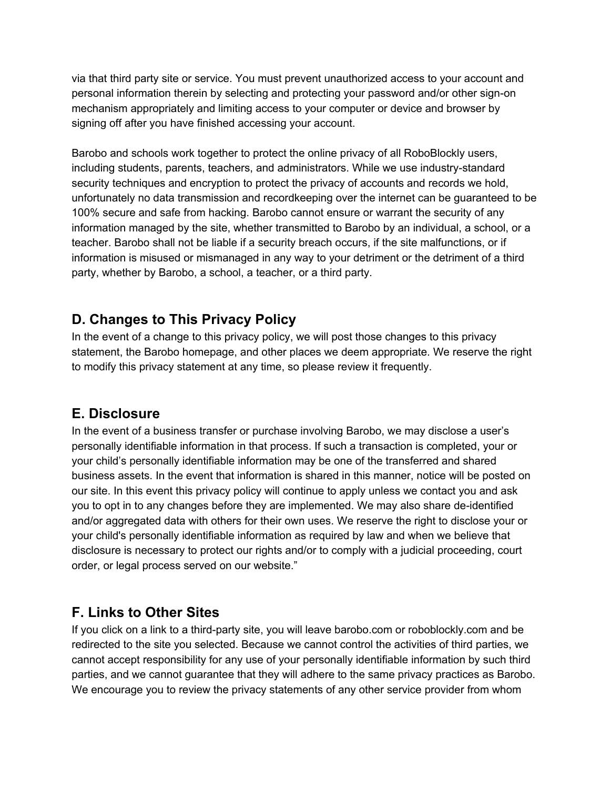via that third party site or service. You must prevent unauthorized access to your account and personal information therein by selecting and protecting your password and/or other sign-on mechanism appropriately and limiting access to your computer or device and browser by signing off after you have finished accessing your account.

Barobo and schools work together to protect the online privacy of all RoboBlockly users, including students, parents, teachers, and administrators. While we use industry-standard security techniques and encryption to protect the privacy of accounts and records we hold, unfortunately no data transmission and recordkeeping over the internet can be guaranteed to be 100% secure and safe from hacking. Barobo cannot ensure or warrant the security of any information managed by the site, whether transmitted to Barobo by an individual, a school, or a teacher. Barobo shall not be liable if a security breach occurs, if the site malfunctions, or if information is misused or mismanaged in any way to your detriment or the detriment of a third party, whether by Barobo, a school, a teacher, or a third party.

## **D. Changes to This Privacy Policy**

In the event of a change to this privacy policy, we will post those changes to this privacy statement, the Barobo homepage, and other places we deem appropriate. We reserve the right to modify this privacy statement at any time, so please review it frequently.

### **E. Disclosure**

In the event of a business transfer or purchase involving Barobo, we may disclose a user's personally identifiable information in that process. If such a transaction is completed, your or your child's personally identifiable information may be one of the transferred and shared business assets. In the event that information is shared in this manner, notice will be posted on our site. In this event this privacy policy will continue to apply unless we contact you and ask you to opt in to any changes before they are implemented. We may also share de-identified and/or aggregated data with others for their own uses. We reserve the right to disclose your or your child's personally identifiable information as required by law and when we believe that disclosure is necessary to protect our rights and/or to comply with a judicial proceeding, court order, or legal process served on our website."

# **F. Links to Other Sites**

If you click on a link to a third-party site, you will leave barobo.com or roboblockly.com and be redirected to the site you selected. Because we cannot control the activities of third parties, we cannot accept responsibility for any use of your personally identifiable information by such third parties, and we cannot guarantee that they will adhere to the same privacy practices as Barobo. We encourage you to review the privacy statements of any other service provider from whom